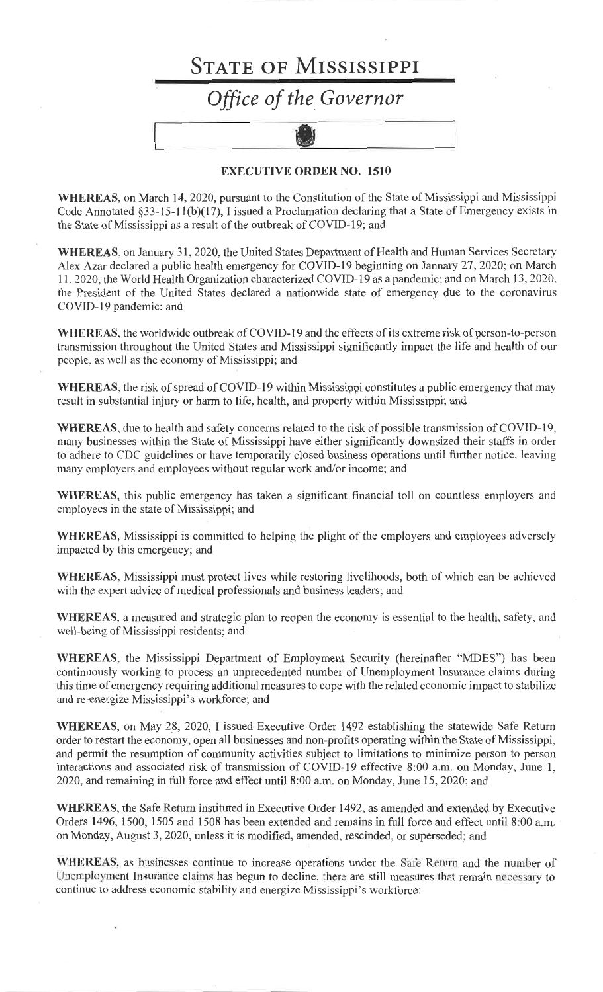## **STATE OF MISSISSIPPI** Office of the Governor



## **EXECUTIVE ORDER NO. 1510**

WHEREAS, on March 14, 2020, pursuant to the Constitution of the State of Mississippi and Mississippi Code Annotated  $\S 33-15-11(b)(17)$ , I issued a Proclamation declaring that a State of Emergency exists in the State of Mississippi as a result of the outbreak of COVID-19; and

WHEREAS, on January 31, 2020, the United States Department of Health and Human Services Secretary Alex Azar declared a public health emergency for COVID-19 beginning on January 27, 2020; on March 11, 2020, the World Health Organization characterized COVID-19 as a pandemic; and on March 13, 2020, the President of the United States declared a nationwide state of emergency due to the coronavirus COVID-19 pandemic; and

WHEREAS, the worldwide outbreak of COVID-19 and the effects of its extreme risk of person-to-person transmission throughout the United States and Mississippi significantly impact the life and health of our people, as well as the economy of Mississippi; and

WHEREAS, the risk of spread of COVID-19 within Mississippi constitutes a public emergency that may result in substantial injury or harm to life, health, and property within Mississippi; and

WHEREAS, due to health and safety concerns related to the risk of possible transmission of COVID-19, many businesses within the State of Mississippi have either significantly downsized their staffs in order to adhere to CDC guidelines or have temporarily closed business operations until further notice, leaving many employers and employees without regular work and/or income; and

**WHEREAS**, this public emergency has taken a significant financial toll on countless employers and employees in the state of Mississippi; and

**WHEREAS**, Mississippi is committed to helping the plight of the employers and employees adversely impacted by this emergency; and

**WHEREAS**, Mississippi must protect lives while restoring livelihoods, both of which can be achieved with the expert advice of medical professionals and business leaders; and

**WHEREAS**, a measured and strategic plan to reopen the economy is essential to the health, safety, and well-being of Mississippi residents; and

WHEREAS, the Mississippi Department of Employment Security (hereinafter "MDES") has been continuously working to process an unprecedented number of Unemployment Insurance claims during this time of emergency requiring additional measures to cope with the related economic impact to stabilize and re-energize Mississippi's workforce; and

WHEREAS, on May 28, 2020, I issued Executive Order 1492 establishing the statewide Safe Return order to restart the economy, open all businesses and non-profits operating within the State of Mississippi, and permit the resumption of community activities subject to limitations to minimize person to person interactions and associated risk of transmission of COVID-19 effective 8:00 a.m. on Monday, June 1, 2020, and remaining in full force and effect until 8:00 a.m. on Monday, June 15, 2020; and

**WHEREAS**, the Safe Return instituted in Executive Order 1492, as amended and extended by Executive Orders 1496, 1500, 1505 and 1508 has been extended and remains in full force and effect until 8:00 a.m. on Monday, August 3, 2020, unless it is modified, amended, rescinded, or superseded; and

WHEREAS, as businesses continue to increase operations under the Safe Return and the number of Unemployment Insurance claims has begun to decline, there are still measures that remain necessary to continue to address economic stability and energize Mississippi's workforce: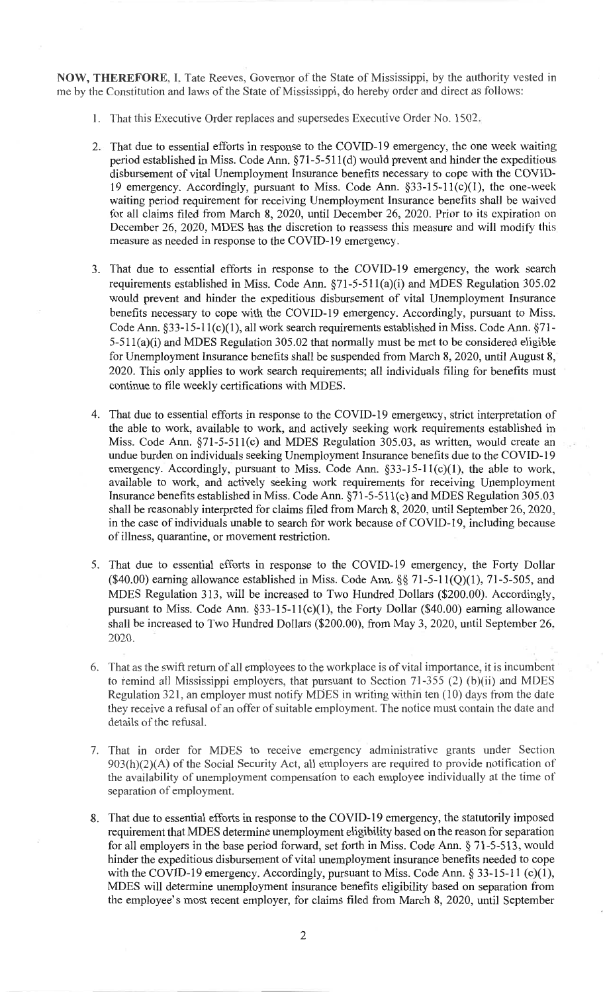NOW, THEREFORE, I, Tate Reeves, Governor of the State of Mississippi, by the authority vested in me by the Constitution and laws of the State of Mississippi, do hereby order and direct as follows:

- 1. That this Executive Order replaces and supersedes Executive Order No. 1502.
- 2. That due to essential efforts in response to the COVID-19 emergency, the one week waiting period established in Miss. Code Ann. §71-5-511(d) would prevent and hinder the expeditious disbursement of vital Unemployment Insurance benefits necessary to cope with the COVID-19 emergency. Accordingly, pursuant to Miss. Code Ann.  $\S$ 33-15-11(c)(1), the one-week waiting period requirement for receiving Unemployment Insurance benefits shall be waived for all claims filed from March 8, 2020, until December 26, 2020. Prior to its expiration on December 26, 2020, MDES has the discretion to reassess this measure and will modify this measure as needed in response to the COVID-19 emergency.
- 3. That due to essential efforts in response to the COVID-19 emergency, the work search requirements established in Miss. Code Ann. §71-5-511(a)(i) and MDES Regulation 305.02 would prevent and hinder the expeditious disbursement of vital Unemployment Insurance benefits necessary to cope with the COVID-19 emergency. Accordingly, pursuant to Miss. Code Ann. §33-15-11(c)(1), all work search requirements established in Miss. Code Ann. §71- $5-511(a)(i)$  and MDES Regulation 305.02 that normally must be met to be considered eligible for Unemployment Insurance benefits shall be suspended from March 8, 2020, until August 8, 2020. This only applies to work search requirements; all individuals filing for benefits must continue to file weekly certifications with MDES.
- 4. That due to essential efforts in response to the COVID-19 emergency, strict interpretation of the able to work, available to work, and actively seeking work requirements established in Miss. Code Ann. §71-5-511(c) and MDES Regulation 305.03, as written, would create an undue burden on individuals seeking Unemployment Insurance benefits due to the COVID-19 emergency. Accordingly, pursuant to Miss. Code Ann. §33-15-11(c)(1), the able to work, available to work, and actively seeking work requirements for receiving Unemployment Insurance benefits established in Miss. Code Ann. §71-5-511(c) and MDES Regulation 305.03 shall be reasonably interpreted for claims filed from March 8, 2020, until September 26, 2020, in the case of individuals unable to search for work because of COVID-19, including because of illness, quarantine, or movement restriction.
- 5. That due to essential efforts in response to the COVID-19 emergency, the Forty Dollar (\$40.00) earning allowance established in Miss. Code Ann.  $\S\S 71-5-11(Q)(1)$ , 71-5-505, and MDES Regulation 313, will be increased to Two Hundred Dollars (\$200.00). Accordingly, pursuant to Miss. Code Ann.  $\S$ 33-15-11(c)(1), the Forty Dollar (\$40.00) earning allowance shall be increased to Two Hundred Dollars (\$200.00), from May 3, 2020, until September 26, 2020.
- 6. That as the swift return of all employees to the workplace is of vital importance, it is incumbent to remind all Mississippi employers, that pursuant to Section  $71-355$  (2) (b)(ii) and MDES Regulation 321, an employer must notify MDES in writing within ten  $(10)$  days from the date they receive a refusal of an offer of suitable employment. The notice must contain the date and details of the refusal.
- 7. That in order for MDES to receive emergency administrative grants under Section  $903(h)(2)(A)$  of the Social Security Act, all employers are required to provide notification of the availability of unemployment compensation to each employee individually at the time of separation of employment.
- 8. That due to essential efforts in response to the COVID-19 emergency, the statutorily imposed requirement that MDES determine unemployment eligibility based on the reason for separation for all employers in the base period forward, set forth in Miss. Code Ann. § 71-5-513, would hinder the expeditious disbursement of vital unemployment insurance benefits needed to cope with the COVID-19 emergency. Accordingly, pursuant to Miss. Code Ann.  $\S 33-15-11$  (c)(1), MDES will determine unemployment insurance benefits eligibility based on separation from the employee's most recent employer, for claims filed from March 8, 2020, until September